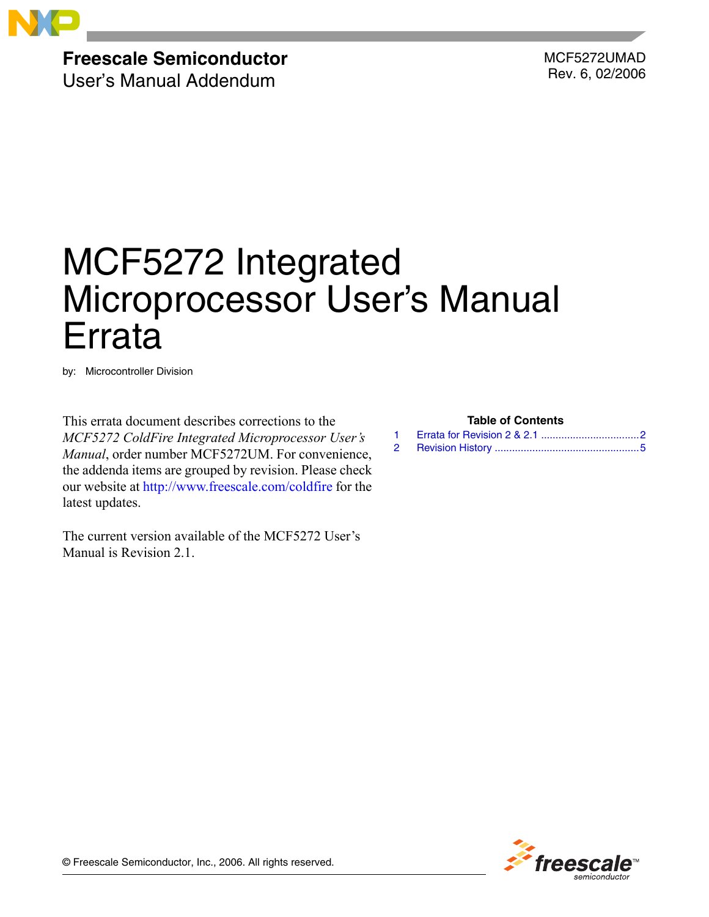

# **Freescale Semiconductor**

User's Manual Addendum

MCF5272UMAD Rev. 6, 02/2006

# MCF5272 Integrated Microprocessor User's Manual Errata

by: Microcontroller Division

This errata document describes corrections to the *MCF5272 ColdFire Integrated Microprocessor User's Manual*, order number MCF5272UM. For convenience, the addenda items are grouped by revision. Please check our website at [http://www.freescale.com/coldfire](http://www.freescale.com) for the latest updates.

The current version available of the MCF5272 User's Manual is Revision 2.1.

|  |  | <b>Table of Contents</b> |
|--|--|--------------------------|
|--|--|--------------------------|



© Freescale Semiconductor, Inc., 2006. All rights reserved.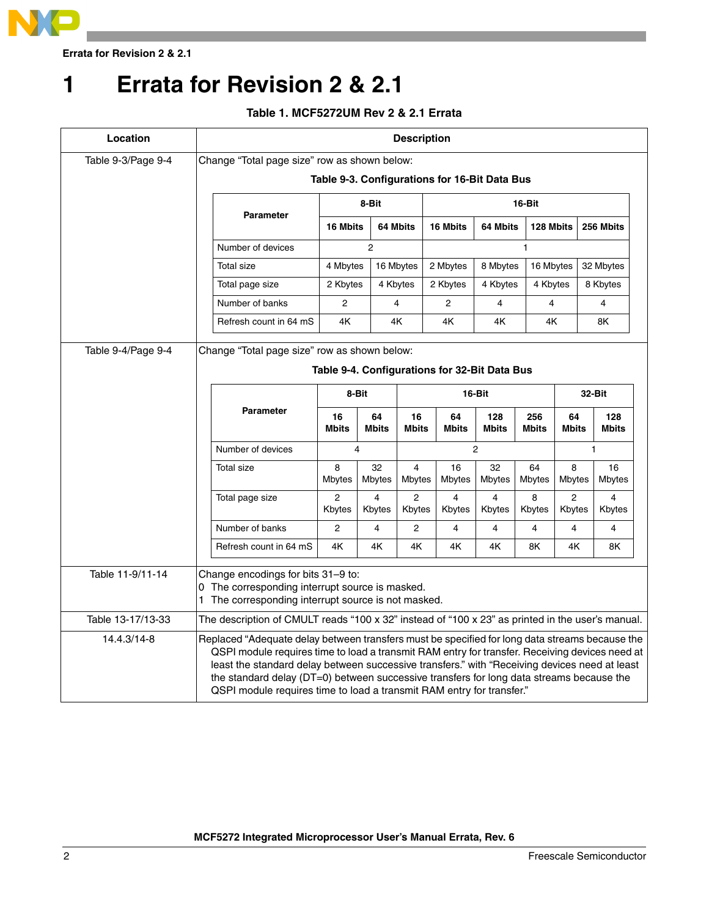

**Errata for Revision 2 & 2.1**

# <span id="page-1-0"></span>**1 Errata for Revision 2 & 2.1**

# **Table 1. MCF5272UM Rev 2 & 2.1 Errata**

| Location                                                                                                                                                         | <b>Description</b>                                                                                                                                                                                                                                                                                                                                                                                                                                                     |                          |                    |                          |                                               |                       |                     |                    |                          |  |
|------------------------------------------------------------------------------------------------------------------------------------------------------------------|------------------------------------------------------------------------------------------------------------------------------------------------------------------------------------------------------------------------------------------------------------------------------------------------------------------------------------------------------------------------------------------------------------------------------------------------------------------------|--------------------------|--------------------|--------------------------|-----------------------------------------------|-----------------------|---------------------|--------------------|--------------------------|--|
| Table 9-3/Page 9-4                                                                                                                                               | Change "Total page size" row as shown below:                                                                                                                                                                                                                                                                                                                                                                                                                           |                          |                    |                          |                                               |                       |                     |                    |                          |  |
|                                                                                                                                                                  | Table 9-3. Configurations for 16-Bit Data Bus                                                                                                                                                                                                                                                                                                                                                                                                                          |                          |                    |                          |                                               |                       |                     |                    |                          |  |
|                                                                                                                                                                  |                                                                                                                                                                                                                                                                                                                                                                                                                                                                        | 8-Bit<br>16-Bit          |                    |                          |                                               |                       |                     |                    |                          |  |
|                                                                                                                                                                  | <b>Parameter</b>                                                                                                                                                                                                                                                                                                                                                                                                                                                       | 16 Mbits                 |                    | 64 Mbits                 | 16 Mbits                                      | 64 Mbits<br>128 Mbits |                     |                    | 256 Mbits                |  |
|                                                                                                                                                                  | Number of devices                                                                                                                                                                                                                                                                                                                                                                                                                                                      |                          | $\overline{2}$     |                          |                                               | 1                     |                     |                    |                          |  |
|                                                                                                                                                                  | <b>Total size</b>                                                                                                                                                                                                                                                                                                                                                                                                                                                      | 4 Mbytes                 |                    | 16 Mbytes                | 2 Mbytes                                      | 8 Mbytes              |                     | 16 Mbytes          | 32 Mbytes                |  |
|                                                                                                                                                                  | Total page size                                                                                                                                                                                                                                                                                                                                                                                                                                                        | 2 Kbytes                 |                    | 4 Kbytes                 | 2 Kbytes                                      | 4 Kbytes              | 4 Kbytes            |                    | 8 Kbytes                 |  |
|                                                                                                                                                                  | Number of banks                                                                                                                                                                                                                                                                                                                                                                                                                                                        | $\overline{2}$           |                    | 4                        | $\overline{2}$                                | 4                     | 4                   |                    | 4                        |  |
|                                                                                                                                                                  | Refresh count in 64 mS                                                                                                                                                                                                                                                                                                                                                                                                                                                 | 4Κ                       |                    | 4K                       | 4K                                            | 4Κ                    | 4K                  |                    | 8K                       |  |
| Table 9-4/Page 9-4                                                                                                                                               | Change "Total page size" row as shown below:                                                                                                                                                                                                                                                                                                                                                                                                                           |                          |                    |                          |                                               |                       |                     |                    |                          |  |
|                                                                                                                                                                  |                                                                                                                                                                                                                                                                                                                                                                                                                                                                        |                          |                    |                          | Table 9-4. Configurations for 32-Bit Data Bus |                       |                     |                    |                          |  |
|                                                                                                                                                                  |                                                                                                                                                                                                                                                                                                                                                                                                                                                                        |                          |                    |                          |                                               |                       |                     |                    |                          |  |
|                                                                                                                                                                  | <b>Parameter</b>                                                                                                                                                                                                                                                                                                                                                                                                                                                       | 8-Bit                    |                    |                          |                                               | 16-Bit                |                     | 32-Bit             |                          |  |
|                                                                                                                                                                  |                                                                                                                                                                                                                                                                                                                                                                                                                                                                        | 16<br><b>Mbits</b>       | 64<br><b>Mbits</b> | 16<br><b>Mbits</b>       | 64<br>Mbits                                   | 128<br><b>Mbits</b>   | 256<br><b>Mbits</b> | 64<br><b>Mbits</b> | 128<br><b>Mbits</b>      |  |
|                                                                                                                                                                  | Number of devices                                                                                                                                                                                                                                                                                                                                                                                                                                                      |                          | 4                  | $\overline{c}$<br>1      |                                               |                       |                     |                    |                          |  |
|                                                                                                                                                                  | <b>Total size</b>                                                                                                                                                                                                                                                                                                                                                                                                                                                      | 8<br>Mbytes              | 32<br>Mbytes       | 4<br>Mbytes              | 16<br><b>Mbytes</b>                           | 32<br><b>Mbytes</b>   | 64<br><b>Mbytes</b> | 8<br><b>Mbytes</b> | 16<br><b>Mbytes</b>      |  |
|                                                                                                                                                                  | Total page size                                                                                                                                                                                                                                                                                                                                                                                                                                                        | $\overline{c}$<br>Kbytes | 4<br>Kbytes        | $\overline{2}$<br>Kbytes | 4<br>Kbytes                                   | 4<br>Kbytes           | 8<br>Kbytes         | 2<br>Kbytes        | $\overline{4}$<br>Kbytes |  |
|                                                                                                                                                                  | Number of banks                                                                                                                                                                                                                                                                                                                                                                                                                                                        | $\overline{2}$           | 4                  | 2                        | 4                                             | 4                     | 4                   | 4                  | 4                        |  |
|                                                                                                                                                                  | Refresh count in 64 mS                                                                                                                                                                                                                                                                                                                                                                                                                                                 | 4K                       | 4Κ                 | 4K                       | 4K                                            | 4Κ                    | 8K                  | 4Κ                 | 8K                       |  |
| Table 11-9/11-14<br>Change encodings for bits 31-9 to:<br>0 The corresponding interrupt source is masked.<br>1 The corresponding interrupt source is not masked. |                                                                                                                                                                                                                                                                                                                                                                                                                                                                        |                          |                    |                          |                                               |                       |                     |                    |                          |  |
| Table 13-17/13-33                                                                                                                                                | The description of CMULT reads "100 x 32" instead of "100 x 23" as printed in the user's manual.                                                                                                                                                                                                                                                                                                                                                                       |                          |                    |                          |                                               |                       |                     |                    |                          |  |
| 14.4.3/14-8                                                                                                                                                      | Replaced "Adequate delay between transfers must be specified for long data streams because the<br>QSPI module requires time to load a transmit RAM entry for transfer. Receiving devices need at<br>least the standard delay between successive transfers." with "Receiving devices need at least<br>the standard delay (DT=0) between successive transfers for long data streams because the<br>QSPI module requires time to load a transmit RAM entry for transfer." |                          |                    |                          |                                               |                       |                     |                    |                          |  |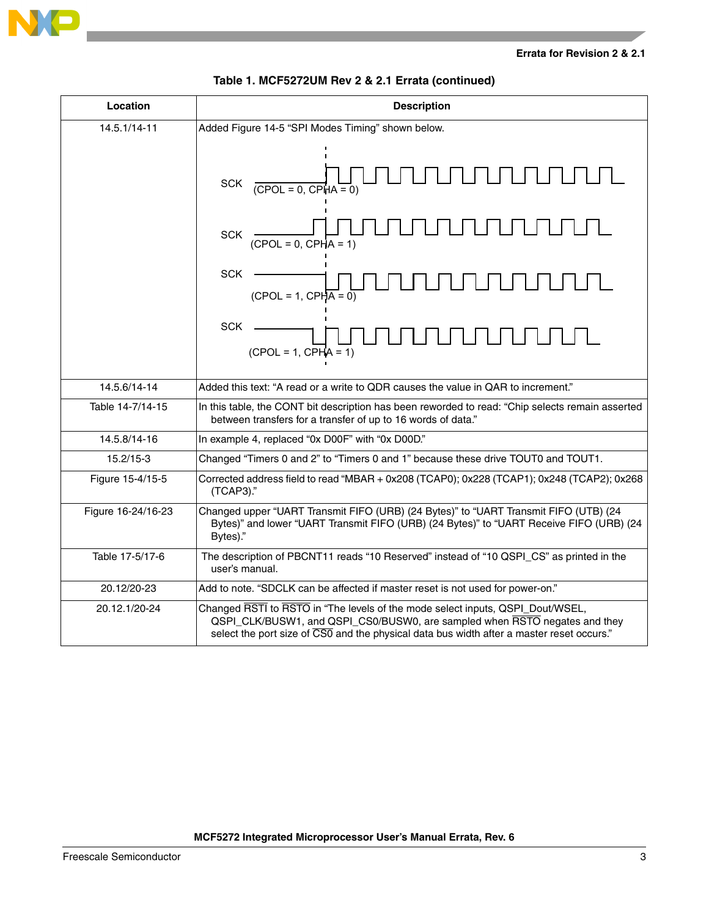

### **Errata for Revision 2 & 2.1**

| Location           | <b>Description</b>                                                                                                                                                                                                                                                     |  |  |  |  |
|--------------------|------------------------------------------------------------------------------------------------------------------------------------------------------------------------------------------------------------------------------------------------------------------------|--|--|--|--|
| 14.5.1/14-11       | Added Figure 14-5 "SPI Modes Timing" shown below.                                                                                                                                                                                                                      |  |  |  |  |
|                    | <b>SCK</b><br>$(CPOL = 0, CPHA = 0)$                                                                                                                                                                                                                                   |  |  |  |  |
|                    | <b>SCK</b><br>$(CPOL = 0, CPHA = 1)$                                                                                                                                                                                                                                   |  |  |  |  |
|                    | <b>SCK</b><br>$(CPOL = 1, CPHA = 0)$                                                                                                                                                                                                                                   |  |  |  |  |
|                    | <b>SCK</b><br>$(CPOL = 1, CPHA = 1)$                                                                                                                                                                                                                                   |  |  |  |  |
| 14.5.6/14-14       | Added this text: "A read or a write to QDR causes the value in QAR to increment."                                                                                                                                                                                      |  |  |  |  |
| Table 14-7/14-15   | In this table, the CONT bit description has been reworded to read: "Chip selects remain asserted<br>between transfers for a transfer of up to 16 words of data."                                                                                                       |  |  |  |  |
| 14.5.8/14-16       | In example 4, replaced "0x D00F" with "0x D00D."                                                                                                                                                                                                                       |  |  |  |  |
| $15.2/15-3$        | Changed "Timers 0 and 2" to "Timers 0 and 1" because these drive TOUT0 and TOUT1.                                                                                                                                                                                      |  |  |  |  |
| Figure 15-4/15-5   | Corrected address field to read "MBAR + 0x208 (TCAP0); 0x228 (TCAP1); 0x248 (TCAP2); 0x268<br>(TCAP3)."                                                                                                                                                                |  |  |  |  |
| Figure 16-24/16-23 | Changed upper "UART Transmit FIFO (URB) (24 Bytes)" to "UART Transmit FIFO (UTB) (24<br>Bytes)" and lower "UART Transmit FIFO (URB) (24 Bytes)" to "UART Receive FIFO (URB) (24<br>Bytes)."                                                                            |  |  |  |  |
| Table 17-5/17-6    | The description of PBCNT11 reads "10 Reserved" instead of "10 QSPI_CS" as printed in the<br>user's manual.                                                                                                                                                             |  |  |  |  |
| 20.12/20-23        | Add to note. "SDCLK can be affected if master reset is not used for power-on."                                                                                                                                                                                         |  |  |  |  |
| 20.12.1/20-24      | Changed RSTI to RSTO in "The levels of the mode select inputs, QSPI_Dout/WSEL,<br>QSPI_CLK/BUSW1, and QSPI_CS0/BUSW0, are sampled when RSTO negates and they<br>select the port size of $\overline{CS0}$ and the physical data bus width after a master reset occurs." |  |  |  |  |

# **Table 1. MCF5272UM Rev 2 & 2.1 Errata (continued)**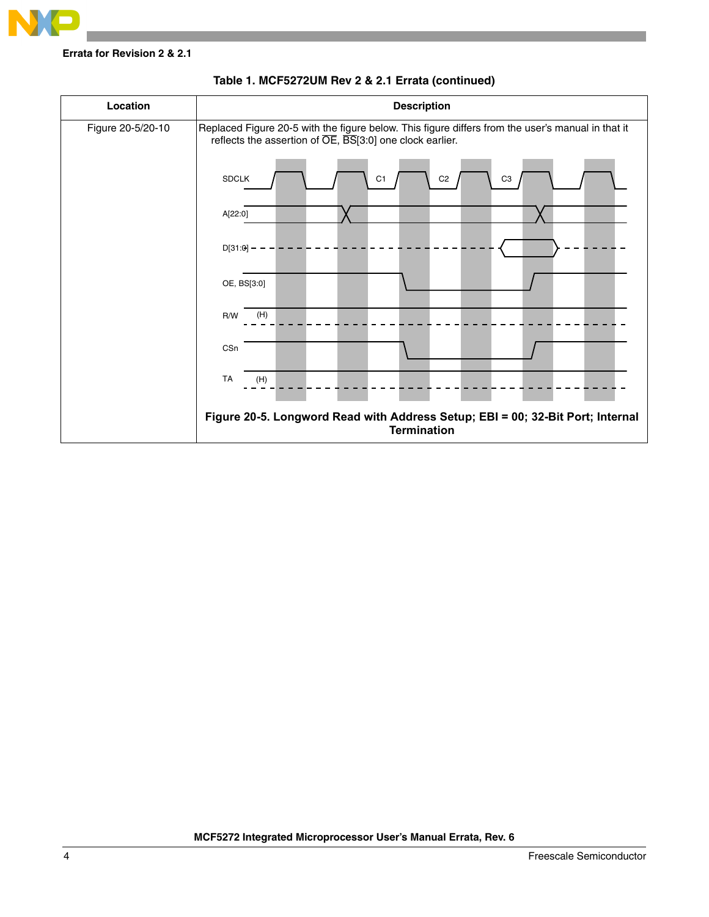

**Errata for Revision 2 & 2.1**



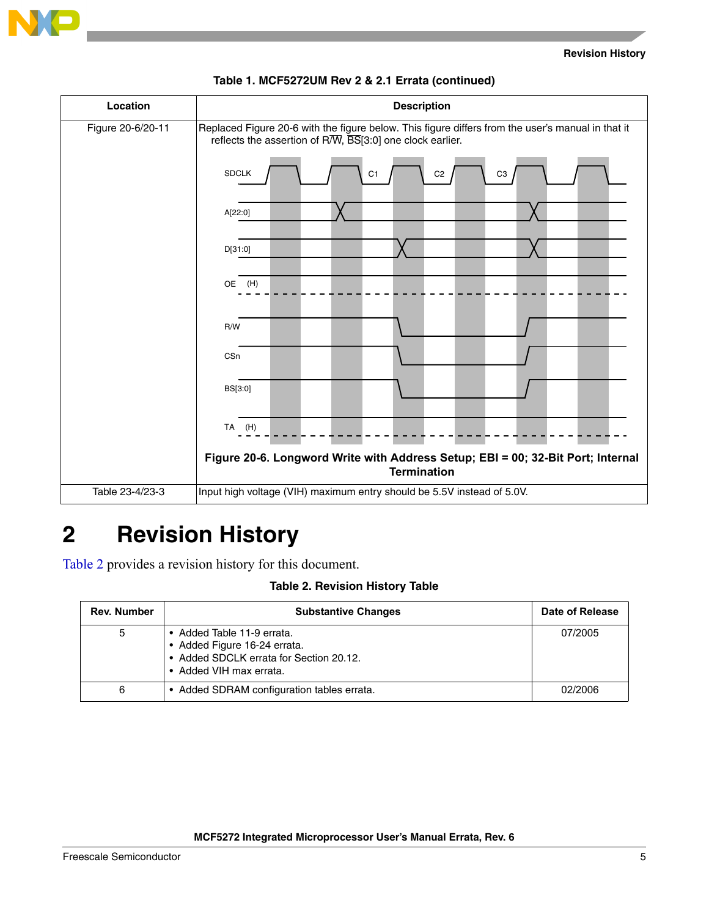



### **Table 1. MCF5272UM Rev 2 & 2.1 Errata (continued)**

# <span id="page-4-0"></span>**2 Revision History**

Table 2 provides a revision history for this document.

## **Table 2. Revision History Table**

| <b>Rev. Number</b> | <b>Substantive Changes</b>                                                                                                       | Date of Release |
|--------------------|----------------------------------------------------------------------------------------------------------------------------------|-----------------|
| 5                  | • Added Table 11-9 errata.<br>• Added Figure 16-24 errata.<br>• Added SDCLK errata for Section 20.12.<br>• Added VIH max errata. | 07/2005         |
| 6                  | • Added SDRAM configuration tables errata.                                                                                       | 02/2006         |